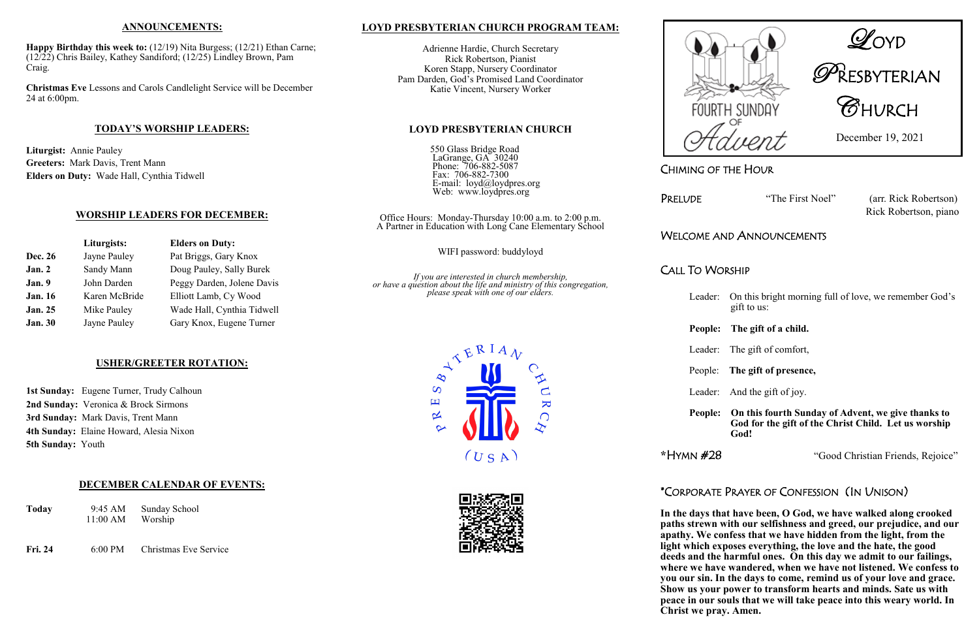CHIMING OF THE HOUR

PRELUDE "The First Noel" (arr. Rick Robertson) Rick Robertson, piano

# WELCOME AND ANNOUNCEMENTS

CALL TO WORSHIP

Leader: On this bright morning full of love, we remember God's gift to us:

### **People: The gift of a child.**

Leader: The gift of comfort,

### People: **The gift of presence,**

Leader: And the gift of joy.

**People: On this fourth Sunday of Advent, we give thanks to God for the gift of the Christ Child. Let us worship God!**

**\***HYMN #28"Good Christian Friends, Rejoice"

# \*CORPORATE PRAYER OF CONFESSION (IN UNISON)

**In the days that have been, O God, we have walked along crooked paths strewn with our selfishness and greed, our prejudice, and our apathy. We confess that we have hidden from the light, from the light which exposes everything, the love and the hate, the good deeds and the harmful ones. On this day we admit to our failings, where we have wandered, when we have not listened. We confess to you our sin. In the days to come, remind us of your love and grace. Show us your power to transform hearts and minds. Sate us with peace in our souls that we will take peace into this weary world. In Christ we pray. Amen.**

1st Sunday: Eugene Turner, Trudy Calhoun **2nd Sunday:** Veronica & Brock Sirmons **3rd Sunday:** Mark Davis, Trent Mann **4th Sunday:** Elaine Howard, Alesia Nixon **5th Sunday:** Youth



# RESBYTERIAN





December 19, 2021

### **ANNOUNCEMENTS:**

**Happy Birthday this week to:** (12/19) Nita Burgess; (12/21) Ethan Carne; (12/22) Chris Bailey, Kathey Sandiford; (12/25) Lindley Brown, Pam Craig.

**Christmas Eve** Lessons and Carols Candlelight Service will be December 24 at 6:00pm.

### **TODAY'S WORSHIP LEADERS:**

**Liturgist:** Annie Pauley **Greeters:** Mark Davis, Trent Mann **Elders on Duty:** Wade Hall, Cynthia Tidwell

### **WORSHIP LEADERS FOR DECEMBER:**

|                | Liturgists:   | <b>Elders on Duty:</b>     |  |
|----------------|---------------|----------------------------|--|
| <b>Dec. 26</b> | Jayne Pauley  | Pat Briggs, Gary Knox      |  |
| Jan.2          | Sandy Mann    | Doug Pauley, Sally Burek   |  |
| Jan. 9         | John Darden   | Peggy Darden, Jolene Davis |  |
| <b>Jan. 16</b> | Karen McBride | Elliott Lamb, Cy Wood      |  |
| <b>Jan. 25</b> | Mike Pauley   | Wade Hall, Cynthia Tidwell |  |
| <b>Jan. 30</b> | Jayne Pauley  | Gary Knox, Eugene Turner   |  |

### **USHER/GREETER ROTATION:**

### **DECEMBER CALENDAR OF EVENTS:**

| <b>Today</b> | 9:45 AM  | Sunday School |
|--------------|----------|---------------|
|              | 11:00 AM | Worship       |
|              |          |               |

**Fri. 24** 6:00 PM Christmas Eve Service

### **LOYD PRESBYTERIAN CHURCH PROGRAM TEAM:**

Adrienne Hardie, Church Secretary Rick Robertson, Pianist Koren Stapp, Nursery Coordinator Pam Darden, God's Promised Land Coordinator Katie Vincent, Nursery Worker

### **LOYD PRESBYTERIAN CHURCH**

550 Glass Bridge Road LaGrange, GA 30240 Phone: 706-882-5087 Fax: 706-882-7300 E-mail: loyd@loydpres.org Web: www.loydpres.org

Office Hours: Monday-Thursday 10:00 a.m. to 2:00 p.m. A Partner in Education with Long Cane Elementary School

WIFI password: buddyloyd

*If you are interested in church membership, or have a question about the life and ministry of this congregation, please speak with one of our elders.*